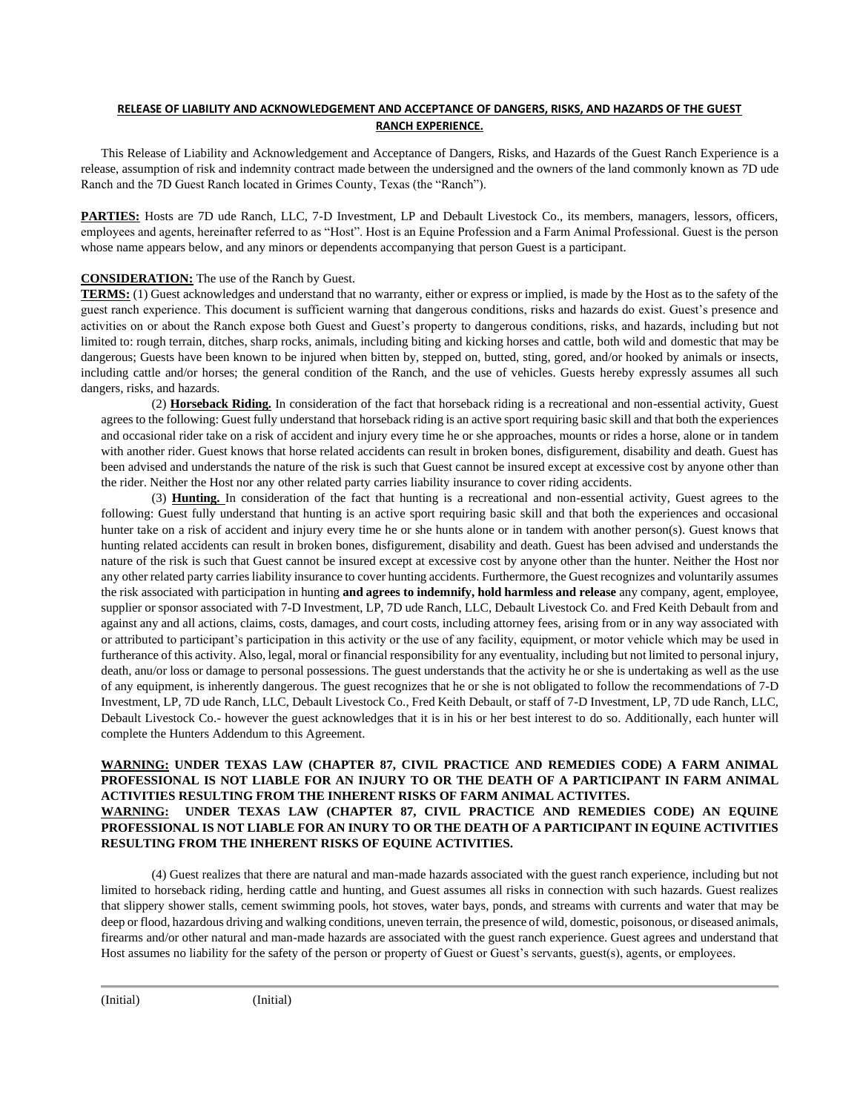## **RELEASE OF LIABILITY AND ACKNOWLEDGEMENT AND ACCEPTANCE OF DANGERS, RISKS, AND HAZARDS OF THE GUEST RANCH EXPERIENCE.**

This Release of Liability and Acknowledgement and Acceptance of Dangers, Risks, and Hazards of the Guest Ranch Experience is a release, assumption of risk and indemnity contract made between the undersigned and the owners of the land commonly known as 7D ude Ranch and the 7D Guest Ranch located in Grimes County, Texas (the "Ranch").

**PARTIES:** Hosts are 7D ude Ranch, LLC, 7-D Investment, LP and Debault Livestock Co., its members, managers, lessors, officers, employees and agents, hereinafter referred to as "Host". Host is an Equine Profession and a Farm Animal Professional. Guest is the person whose name appears below, and any minors or dependents accompanying that person Guest is a participant.

## **CONSIDERATION:** The use of the Ranch by Guest.

**TERMS:** (1) Guest acknowledges and understand that no warranty, either or express or implied, is made by the Host as to the safety of the guest ranch experience. This document is sufficient warning that dangerous conditions, risks and hazards do exist. Guest's presence and activities on or about the Ranch expose both Guest and Guest's property to dangerous conditions, risks, and hazards, including but not limited to: rough terrain, ditches, sharp rocks, animals, including biting and kicking horses and cattle, both wild and domestic that may be dangerous; Guests have been known to be injured when bitten by, stepped on, butted, sting, gored, and/or hooked by animals or insects, including cattle and/or horses; the general condition of the Ranch, and the use of vehicles. Guests hereby expressly assumes all such dangers, risks, and hazards.

(2) **Horseback Riding.** In consideration of the fact that horseback riding is a recreational and non-essential activity, Guest agrees to the following: Guest fully understand that horseback riding is an active sport requiring basic skill and that both the experiences and occasional rider take on a risk of accident and injury every time he or she approaches, mounts or rides a horse, alone or in tandem with another rider. Guest knows that horse related accidents can result in broken bones, disfigurement, disability and death. Guest has been advised and understands the nature of the risk is such that Guest cannot be insured except at excessive cost by anyone other than the rider. Neither the Host nor any other related party carries liability insurance to cover riding accidents.

(3) **Hunting.** In consideration of the fact that hunting is a recreational and non-essential activity, Guest agrees to the following: Guest fully understand that hunting is an active sport requiring basic skill and that both the experiences and occasional hunter take on a risk of accident and injury every time he or she hunts alone or in tandem with another person(s). Guest knows that hunting related accidents can result in broken bones, disfigurement, disability and death. Guest has been advised and understands the nature of the risk is such that Guest cannot be insured except at excessive cost by anyone other than the hunter. Neither the Host nor any other related party carries liability insurance to cover hunting accidents. Furthermore, the Guest recognizes and voluntarily assumes the risk associated with participation in hunting **and agrees to indemnify, hold harmless and release** any company, agent, employee, supplier or sponsor associated with 7-D Investment, LP, 7D ude Ranch, LLC, Debault Livestock Co. and Fred Keith Debault from and against any and all actions, claims, costs, damages, and court costs, including attorney fees, arising from or in any way associated with or attributed to participant's participation in this activity or the use of any facility, equipment, or motor vehicle which may be used in furtherance of this activity. Also, legal, moral or financial responsibility for any eventuality, including but not limited to personal injury, death, anu/or loss or damage to personal possessions. The guest understands that the activity he or she is undertaking as well as the use of any equipment, is inherently dangerous. The guest recognizes that he or she is not obligated to follow the recommendations of 7-D Investment, LP, 7D ude Ranch, LLC, Debault Livestock Co., Fred Keith Debault, or staff of 7-D Investment, LP, 7D ude Ranch, LLC, Debault Livestock Co.- however the guest acknowledges that it is in his or her best interest to do so. Additionally, each hunter will complete the Hunters Addendum to this Agreement.

## **WARNING: UNDER TEXAS LAW (CHAPTER 87, CIVIL PRACTICE AND REMEDIES CODE) A FARM ANIMAL PROFESSIONAL IS NOT LIABLE FOR AN INJURY TO OR THE DEATH OF A PARTICIPANT IN FARM ANIMAL ACTIVITIES RESULTING FROM THE INHERENT RISKS OF FARM ANIMAL ACTIVITES. WARNING: UNDER TEXAS LAW (CHAPTER 87, CIVIL PRACTICE AND REMEDIES CODE) AN EQUINE PROFESSIONAL IS NOT LIABLE FOR AN INURY TO OR THE DEATH OF A PARTICIPANT IN EQUINE ACTIVITIES RESULTING FROM THE INHERENT RISKS OF EQUINE ACTIVITIES.**

(4) Guest realizes that there are natural and man-made hazards associated with the guest ranch experience, including but not limited to horseback riding, herding cattle and hunting, and Guest assumes all risks in connection with such hazards. Guest realizes that slippery shower stalls, cement swimming pools, hot stoves, water bays, ponds, and streams with currents and water that may be deep or flood, hazardous driving and walking conditions, uneven terrain, the presence of wild, domestic, poisonous, or diseased animals, firearms and/or other natural and man-made hazards are associated with the guest ranch experience. Guest agrees and understand that Host assumes no liability for the safety of the person or property of Guest or Guest's servants, guest(s), agents, or employees.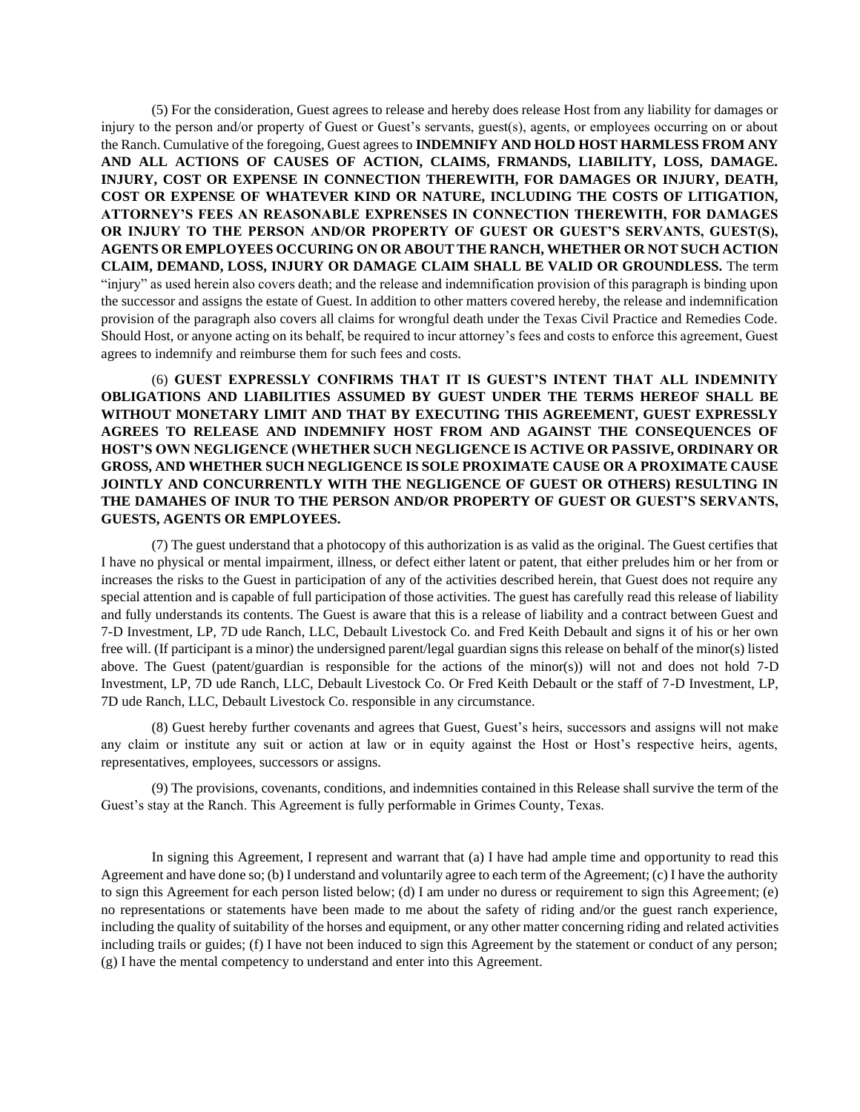(5) For the consideration, Guest agrees to release and hereby does release Host from any liability for damages or injury to the person and/or property of Guest or Guest's servants, guest(s), agents, or employees occurring on or about the Ranch. Cumulative of the foregoing, Guest agrees to **INDEMNIFY AND HOLD HOST HARMLESS FROM ANY AND ALL ACTIONS OF CAUSES OF ACTION, CLAIMS, FRMANDS, LIABILITY, LOSS, DAMAGE. INJURY, COST OR EXPENSE IN CONNECTION THEREWITH, FOR DAMAGES OR INJURY, DEATH, COST OR EXPENSE OF WHATEVER KIND OR NATURE, INCLUDING THE COSTS OF LITIGATION, ATTORNEY'S FEES AN REASONABLE EXPRENSES IN CONNECTION THEREWITH, FOR DAMAGES OR INJURY TO THE PERSON AND/OR PROPERTY OF GUEST OR GUEST'S SERVANTS, GUEST(S), AGENTS OR EMPLOYEES OCCURING ON OR ABOUT THE RANCH, WHETHER OR NOT SUCH ACTION CLAIM, DEMAND, LOSS, INJURY OR DAMAGE CLAIM SHALL BE VALID OR GROUNDLESS.** The term "injury" as used herein also covers death; and the release and indemnification provision of this paragraph is binding upon the successor and assigns the estate of Guest. In addition to other matters covered hereby, the release and indemnification provision of the paragraph also covers all claims for wrongful death under the Texas Civil Practice and Remedies Code. Should Host, or anyone acting on its behalf, be required to incur attorney's fees and costs to enforce this agreement, Guest agrees to indemnify and reimburse them for such fees and costs.

(6) **GUEST EXPRESSLY CONFIRMS THAT IT IS GUEST'S INTENT THAT ALL INDEMNITY OBLIGATIONS AND LIABILITIES ASSUMED BY GUEST UNDER THE TERMS HEREOF SHALL BE WITHOUT MONETARY LIMIT AND THAT BY EXECUTING THIS AGREEMENT, GUEST EXPRESSLY AGREES TO RELEASE AND INDEMNIFY HOST FROM AND AGAINST THE CONSEQUENCES OF HOST'S OWN NEGLIGENCE (WHETHER SUCH NEGLIGENCE IS ACTIVE OR PASSIVE, ORDINARY OR GROSS, AND WHETHER SUCH NEGLIGENCE IS SOLE PROXIMATE CAUSE OR A PROXIMATE CAUSE JOINTLY AND CONCURRENTLY WITH THE NEGLIGENCE OF GUEST OR OTHERS) RESULTING IN THE DAMAHES OF INUR TO THE PERSON AND/OR PROPERTY OF GUEST OR GUEST'S SERVANTS, GUESTS, AGENTS OR EMPLOYEES.**

(7) The guest understand that a photocopy of this authorization is as valid as the original. The Guest certifies that I have no physical or mental impairment, illness, or defect either latent or patent, that either preludes him or her from or increases the risks to the Guest in participation of any of the activities described herein, that Guest does not require any special attention and is capable of full participation of those activities. The guest has carefully read this release of liability and fully understands its contents. The Guest is aware that this is a release of liability and a contract between Guest and 7-D Investment, LP, 7D ude Ranch, LLC, Debault Livestock Co. and Fred Keith Debault and signs it of his or her own free will. (If participant is a minor) the undersigned parent/legal guardian signs this release on behalf of the minor(s) listed above. The Guest (patent/guardian is responsible for the actions of the minor(s)) will not and does not hold 7-D Investment, LP, 7D ude Ranch, LLC, Debault Livestock Co. Or Fred Keith Debault or the staff of 7-D Investment, LP, 7D ude Ranch, LLC, Debault Livestock Co. responsible in any circumstance.

(8) Guest hereby further covenants and agrees that Guest, Guest's heirs, successors and assigns will not make any claim or institute any suit or action at law or in equity against the Host or Host's respective heirs, agents, representatives, employees, successors or assigns.

(9) The provisions, covenants, conditions, and indemnities contained in this Release shall survive the term of the Guest's stay at the Ranch. This Agreement is fully performable in Grimes County, Texas.

In signing this Agreement, I represent and warrant that (a) I have had ample time and opportunity to read this Agreement and have done so; (b) I understand and voluntarily agree to each term of the Agreement; (c) I have the authority to sign this Agreement for each person listed below; (d) I am under no duress or requirement to sign this Agreement; (e) no representations or statements have been made to me about the safety of riding and/or the guest ranch experience, including the quality of suitability of the horses and equipment, or any other matter concerning riding and related activities including trails or guides; (f) I have not been induced to sign this Agreement by the statement or conduct of any person; (g) I have the mental competency to understand and enter into this Agreement.